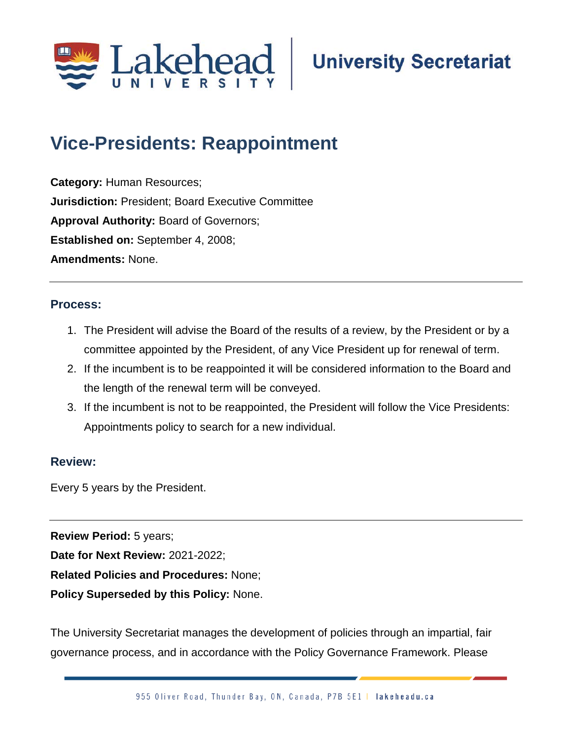

## **Vice-Presidents: Reappointment;**

**Category:** Human Resources; **Jurisdiction:** President; Board Executive Committee **Approval Authority:** Board of Governors; **Established on:** September 4, 2008; **Amendments:** None.

## **Process:**

- 1. The President will advise the Board of the results of a review, by the President or by a committee appointed by the President, of any Vice President up for renewal of term.
- 2. If the incumbent is to be reappointed it will be considered information to the Board and the length of the renewal term will be conveyed.
- 3. If the incumbent is not to be reappointed, the President will follow the Vice Presidents: Appointments policy to search for a new individual.

## **Review:**

Every 5 years by the President.

**Review Period:** 5 years; **Date for Next Review:** 2021-2022; **Related Policies and Procedures:** None; **Policy Superseded by this Policy:** None.

The University Secretariat manages the development of policies through an impartial, fair governance process, and in accordance with the Policy Governance Framework. Please